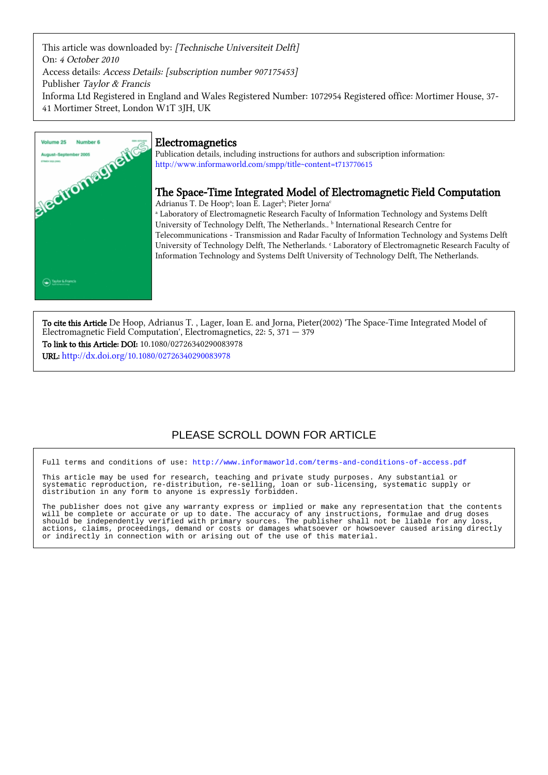This article was downloaded by: [Technische Universiteit Delft] On: 4 October 2010 Access details: Access Details: [subscription number 907175453] Publisher Taylor & Francis Informa Ltd Registered in England and Wales Registered Number: 1072954 Registered office: Mortimer House, 37- 41 Mortimer Street, London W1T 3JH, UK



# Electromagnetics

Publication details, including instructions for authors and subscription information: <http://www.informaworld.com/smpp/title~content=t713770615>

# The Space-Time Integrated Model of Electromagnetic Field Computation

Adrianus T. De Hoop<sup>a</sup>; Ioan E. Lager<sup>b</sup>; Pieter Jorna<sup>c</sup> a Laboratory of Electromagnetic Research Faculty of Information Technology and Systems Delft University of Technology Delft, The Netherlands..<sup>b</sup> International Research Centre for Telecommunications - Transmission and Radar Faculty of Information Technology and Systems Delft University of Technology Delft, The Netherlands. <sup>c</sup> Laboratory of Electromagnetic Research Faculty of Information Technology and Systems Delft University of Technology Delft, The Netherlands.

To cite this Article De Hoop, Adrianus T. , Lager, Ioan E. and Jorna, Pieter(2002) 'The Space-Time Integrated Model of Electromagnetic Field Computation', Electromagnetics, 22: 5, 371 — 379

To link to this Article: DOI: 10.1080/02726340290083978 URL: <http://dx.doi.org/10.1080/02726340290083978>

# PLEASE SCROLL DOWN FOR ARTICLE

Full terms and conditions of use:<http://www.informaworld.com/terms-and-conditions-of-access.pdf>

This article may be used for research, teaching and private study purposes. Any substantial or systematic reproduction, re-distribution, re-selling, loan or sub-licensing, systematic supply or systematic reproduction, re-distribution, re-selling, loan or sub-licensing, systematic supply or distribution in any form to anyone is expressly forbidden.

The publisher does not give any warranty express or implied or make any representation that the contents will be complete or accurate or up to date. The accuracy of any instructions, formulae and drug doses should be independently verified with primary sources. The publisher shall not be liable for any loss, actions, claims, proceedings, demand or costs or damages whatsoever or howsoever caused arising directly or indirectly in connection with or arising out of the use of this material.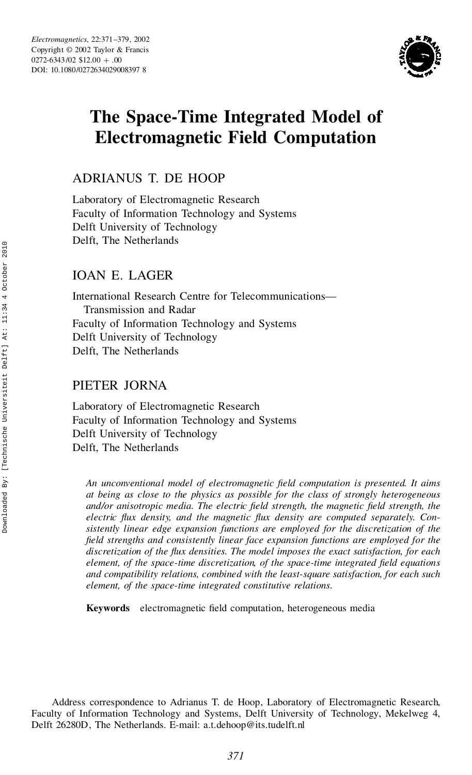

# **The Space-Time Integrated Model of Electromagnetic Field Computation**

ADRIANUS T. DE HOOP

Laboratory of Electromagnetic Research Faculty of Information Technology and Systems Delft University of Technology Delft, The Netherlands

# IOAN E. LAGER

International Research Centre for Telecommunications— Transmission and Radar Faculty of Information Technology and Systems Delft University of Technology Delft, The Netherlands

# PIETER JORNA

Laboratory of Electromagnetic Research Faculty of Information Technology and Systems Delft University of Technology Delft, The Netherlands

*An unconventional model of electromagnetic eld computation is presented. It aims at being as close to the physics as possible for the class of strongly heterogeneous and/or anisotropic media. The electric eld strength, the magnetic eld strength, the electric ux density, and the magnetic ux density are computed separately. Con sistently linear edge expansion functions are employed for the discretization of the eld strengths and consistently linear face expansion functions are employed for the discretization of the ux densities. The model imposes the exact satisfaction, for each element, of the space-time discretization, of the space-time integrated eld equations and compatibility relations, combined with the least-square satisfaction, for each such element, of the space-time integrated constitutive relations.*

**Keywords** electromagnetic field computation, heterogeneous media

Address correspondence to Adrianus T. de Hoop, Laboratory of Electromagnetic Research, Faculty of Information Technology and Systems, Delft University of Technology, Mekelweg 4, Delft 26280D, The Netherlands. E-mail: a.t.dehoop@its.tudelft.nl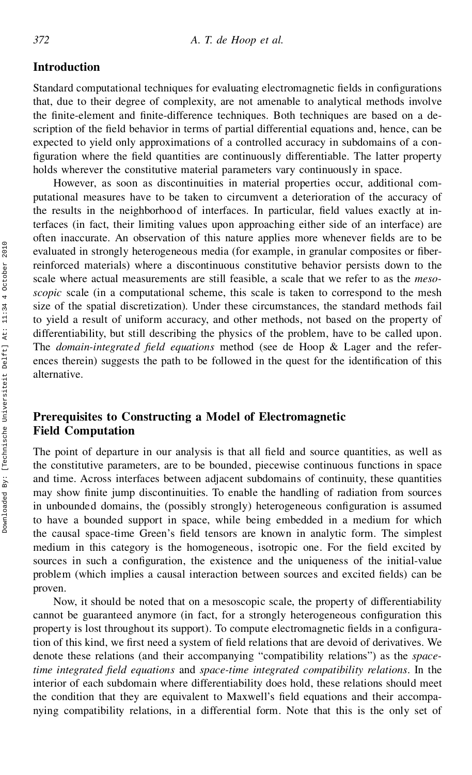## **Introduction**

Standard computational techniques for evaluating electromagnetic fields in configurations that, due to their degree of complexity, are not amenable to analytical methods involve the nite-element and nite-difference techniques. Both techniques are based on a description of the field behavior in terms of partial differential equations and, hence, can be expected to yield only approximations of a controlled accuracy in subdomains of a con figuration where the field quantities are continuously differentiable. The latter property holds wherever the constitutive material parameters vary continuously in space.

However, as soon as discontinuities in material properties occur, additional com putational measures have to be taken to circumvent a deterioration of the accuracy of the results in the neighborhood of interfaces. In particular, field values exactly at interfaces (in fact, their limiting values upon approaching either side of an interface) are often inaccurate. An observation of this nature applies more whenever fields are to be evaluated in strongly heterogeneous media (for example, in granular composites or fiberreinforced materials) where a discontinuous constitutive behavior persists down to the scale where actual measurements are still feasible, a scale that we refer to as the *mesoscopic* scale (in a computational scheme, this scale is taken to correspond to the mesh size of the spatial discretization). Under these circumstances, the standard methods fail to yield a result of uniform accuracy, and other methods, not based on the property of differentiability, but still describing the physics of the problem, have to be called upon. The *domain-integrated field equations* method (see de Hoop & Lager and the references therein) suggests the path to be followed in the quest for the identification of this alternative.

## **Prerequisites to Constructing a Model of Electromagnetic Field Computation**

The point of departure in our analysis is that all field and source quantities, as well as the constitutive parameters, are to be bounded, piecewise continuous functions in space and time. Across interfaces between adjacent subdomains of continuity, these quantities may show nite jump discontinuities. To enable the handling of radiation from sources in unbounded domains, the (possibly strongly) heterogeneous configuration is assumed to have a bounded support in space, while being embedded in a medium for which the causal space-time Green's field tensors are known in analytic form. The simplest medium in this category is the homogeneous, isotropic one. For the field excited by sources in such a configuration, the existence and the uniqueness of the initial-value problem (which implies a causal interaction between sources and excited fields) can be proven.

Now, it should be noted that on a mesoscopic scale, the property of differentiability cannot be guaranteed anymore (in fact, for a strongly heterogeneous configuration this property is lost throughout its support). To compute electromagnetic fields in a configuration of this kind, we first need a system of field relations that are devoid of derivatives. We denote these relations (and their accompanying "compatibility relations") as the *spacetime integrated eld equations* and *space-time integrated compatibility relations*. In the interior of each subdomain where differentiability does hold, these relations should meet the condition that they are equivalent to Maxwell's field equations and their accompanying compatibility relations, in a differential form. Note that this is the only set of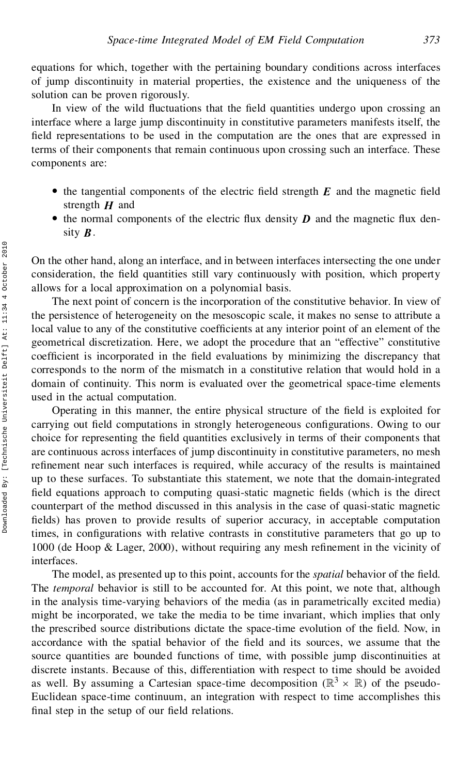equations for which, together with the pertaining boundary conditions across interfaces of jump discontinuity in material properties, the existence and the uniqueness of the solution can be proven rigorously.

In view of the wild fluctuations that the field quantities undergo upon crossing an interface where a large jump discontinuity in constitutive parameters manifests itself, the field representations to be used in the computation are the ones that are expressed in terms of their components that remain continuous upon crossing such an interface. These components are:

- $\bullet$  the tangential components of the electric field strength  $E$  and the magnetic field strength *H* and
- $\bullet$  the normal components of the electric flux density *D* and the magnetic flux density *B*.

On the other hand, along an interface, and in between interfaces intersecting the one under consideration, the field quantities still vary continuously with position, which property allows for a local approximation on a polynomial basis.

The next point of concern is the incorporation of the constitutive behavior. In view of the persistence of heterogeneity on the mesoscopic scale, it makes no sense to attribute a local value to any of the constitutive coefficients at any interior point of an element of the geometrical discretization. Here, we adopt the procedure that an "effective" constitutive coefficient is incorporated in the field evaluations by minimizing the discrepancy that corresponds to the norm of the mismatch in a constitutive relation that would hold in a domain of continuity. This norm is evaluated over the geometrical space-time elements used in the actual computation.

Operating in this manner, the entire physical structure of the field is exploited for carrying out field computations in strongly heterogeneous configurations. Owing to our choice for representing the field quantities exclusively in terms of their components that are continuous across interfaces of jump discontinuity in constitutive parameters, no mesh refinement near such interfaces is required, while accuracy of the results is maintained up to these surfaces. To substantiate this statement, we note that the domain-integrated field equations approach to computing quasi-static magnetic fields (which is the direct counterpart of the method discussed in this analysis in the case of quasi-static magnetic fields) has proven to provide results of superior accuracy, in acceptable computation times, in configurations with relative contrasts in constitutive parameters that go up to 1000 (de Hoop  $\&$  Lager, 2000), without requiring any mesh refinement in the vicinity of interfaces. On the other hand, along an interface, and in both consideration, the field quantities still vary c allows for a local approximation on a polynom<br>The next point of concernentive or deterogenchis to the mesons to the const

The model, as presented up to this point, accounts for the *spatial* behavior of the field. The *temporal* behavior is still to be accounted for. At this point, we note that, although in the analysis time-varying behaviors of the media (as in parametrically excited media) might be incorporated, we take the media to be time invariant, which implies that only the prescribed source distributions dictate the space-time evolution of the field. Now, in accordance with the spatial behavior of the field and its sources, we assume that the source quantities are bounded functions of time, with possible jump discontinuities at discrete instants. Because of this, differentiation with respect to time should be avoided as well. By assuming a Cartesian space-time decomposition ( $\mathbb{R}^3 \times \mathbb{R}$ ) of the pseudo-Euclidean space-time continuum, an integration with respect to time accomplishes this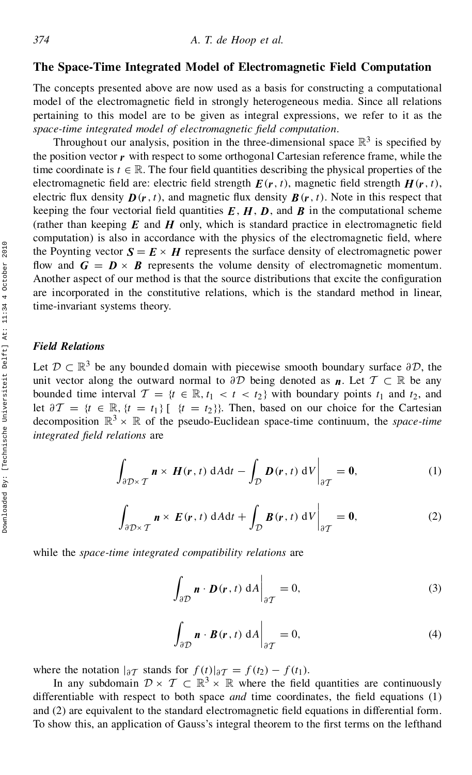### **The Space-Time Integrated Model of Electromagnetic Field Computation**

The concepts presented above are now used as a basis for constructing a computational model of the electromagnetic field in strongly heterogeneous media. Since all relations pertaining to this model are to be given as integral expressions, we refer to it as the *space-time integrated model of electromagnetic eld computation*.

Throughout our analysis, position in the three-dimensional space  $\mathbb{R}^3$  is specified by the position vector  $\bf{r}$  with respect to some orthogonal Cartesian reference frame, while the time coordinate is  $t \in \mathbb{R}$ . The four field quantities describing the physical properties of the electromagnetic field are: electric field strength  $E(r, t)$ , magnetic field strength  $H(r, t)$ , electric flux density  $\mathbf{D}(\mathbf{r},t)$ , and magnetic flux density  $\mathbf{B}(\mathbf{r},t)$ . Note in this respect that keeping the four vectorial field quantities  $E$ ,  $H$ ,  $D$ , and  $B$  in the computational scheme (rather than keeping  $E$  and  $H$  only, which is standard practice in electromagnetic field computation) is also in accordance with the physics of the electromagnetic field, where the Poynting vector  $\mathbf{S} = \mathbf{E} \times \mathbf{H}$  represents the surface density of electromagnetic power flow and  $G = D \times B$  represents the volume density of electromagnetic momentum.<br>Another aspect of our method is that the source distributions that excite the configuration are incorporated in the constitutive relations, which is the standard method in linear, time-invariant systems theory.

#### *Field Relations*

Let  $\mathcal{D} \subset \mathbb{R}^3$  be any bounded domain with piecewise smooth boundary surface  $\partial \mathcal{D}$ , the unit vector along the outward normal to  $\partial \mathcal{D}$  being denoted as *n*. Let  $\mathcal{T} \subset \mathbb{R}$  be any bounded time interval  $\mathcal{T} = \{t \in \mathbb{R}, t_1 < t < t_2\}$  with boundary points  $t_1$  and  $t_2$ , and let  $\partial T = \{t \in \mathbb{R}, \{t = t_1\} \}$   $\{t = t_2\}$ . Then, based on our choice for the Cartesian decomposition  $\mathbb{R}^3 \times \mathbb{R}$  of the pseudo-Euclidean space-time continuum, the *space-time integrated eld relations* are

$$
\int_{\partial \mathcal{D} \times \mathcal{T}} \mathbf{n} \times \mathbf{H}(\mathbf{r}, t) \, dA dt - \int_{\mathcal{D}} \mathbf{D}(\mathbf{r}, t) \, dV \bigg|_{\partial \mathcal{T}} = \mathbf{0},\tag{1}
$$

$$
\int_{\partial \mathcal{D} \times \mathcal{T}} \mathbf{n} \times \mathbf{E}(\mathbf{r}, t) \, dA dt + \int_{\mathcal{D}} \mathbf{B}(\mathbf{r}, t) \, dV \bigg|_{\partial \mathcal{T}} = \mathbf{0},\tag{2}
$$

while the *space-time integrated compatibility relations* are

$$
\int_{\partial \mathcal{D}} \mathbf{n} \cdot \mathbf{D}(\mathbf{r}, t) \, dA \big|_{\partial \mathcal{T}} = 0,
$$
\n(3)

$$
\int_{\partial \mathcal{D}} \mathbf{n} \cdot \mathbf{B}(\mathbf{r}, t) \, dA \big|_{\partial \mathcal{T}} = 0,
$$
\n(4)

where the notation  $|\partial T|$  stands for  $f(t)|\partial T = f(t_2) - f(t_1)$ .

In any subdomain  $\mathcal{D} \times \mathcal{T} \subset \mathbb{R}^3 \times \mathbb{R}$  where the field quantities are continuously differentiable with respect to both space *and* time coordinates, the field equations (1) and (2) are equivalent to the standard electromagnetic field equations in differential form. To show this, an application of Gauss's integral theorem to the first terms on the lefthand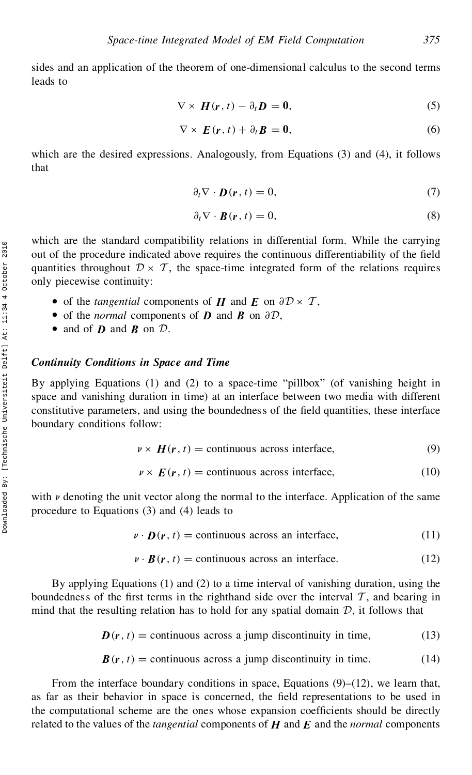sides and an application of the theorem of one-dimensional calculus to the second terms leads to

$$
\nabla \times \boldsymbol{H}(\boldsymbol{r},t) - \partial_t \boldsymbol{D} = \boldsymbol{0},\tag{5}
$$

$$
\nabla \times \boldsymbol{E}(\boldsymbol{r},t) + \partial_t \boldsymbol{B} = \boldsymbol{0},\tag{6}
$$

which are the desired expressions. Analogously, from Equations (3) and (4), it follows that

$$
\partial_t \nabla \cdot \mathbf{D}(\mathbf{r}, t) = 0,\tag{7}
$$

$$
\partial_t \nabla \cdot \boldsymbol{B}(\mathbf{r}, t) = 0,\tag{8}
$$

which are the standard compatibility relations in differential form. While the carrying out of the procedure indicated above requires the continuous differentiability of the field quantities throughout  $\mathcal{D} \times \mathcal{T}$ , the space-time integrated form of the relations requires only piecewise continuity:

- of the *tangential* components of  $H$  and  $E$  on  $\partial D \times T$ ,
- of the *normal* components of  $D$  and  $B$  on  $\partial D$ ,
- and of *D* and *B* on *D*.

#### *Continuity Conditions in Space and Time*

By applying Equations (1) and (2) to a space-time "pillbox" (of vanishing height in space and vanishing duration in time) at an interface between two media with different constitutive parameters, and using the boundedness of the field quantities, these interface boundary conditions follow:

$$
\nu \times H(r, t) = \text{continuous across interface},\tag{9}
$$

$$
\nu \times E(\mathbf{r}, t) = \text{continuous across interface}, \tag{10}
$$

with  $\nu$  denoting the unit vector along the normal to the interface. Application of the same procedure to Equations (3) and (4) leads to

$$
\nu \cdot \mathbf{D}(\mathbf{r}, t) = \text{continuous across an interface},\tag{11}
$$

$$
\mathbf{v} \cdot \mathbf{B}(\mathbf{r}, t) = \text{continuous across an interface.} \tag{12}
$$

By applying Equations (1) and (2) to a time interval of vanishing duration, using the boundedness of the first terms in the righthand side over the interval  $\mathcal{T}$ , and bearing in mind that the resulting relation has to hold for any spatial domain  $D$ , it follows that

$$
D(r, t) = \text{continuous across a jump discontinuity in time}, \tag{13}
$$

$$
\mathbf{B}(\mathbf{r},t) = \text{continuous across a jump discontinuity in time.} \tag{14}
$$

From the interface boundary conditions in space, Equations  $(9)$ – $(12)$ , we learn that, as far as their behavior in space is concerned, the field representations to be used in the computational scheme are the ones whose expansion coefficients should be directly related to the values of the *tangential* components of *H* and *E* and the *normal* components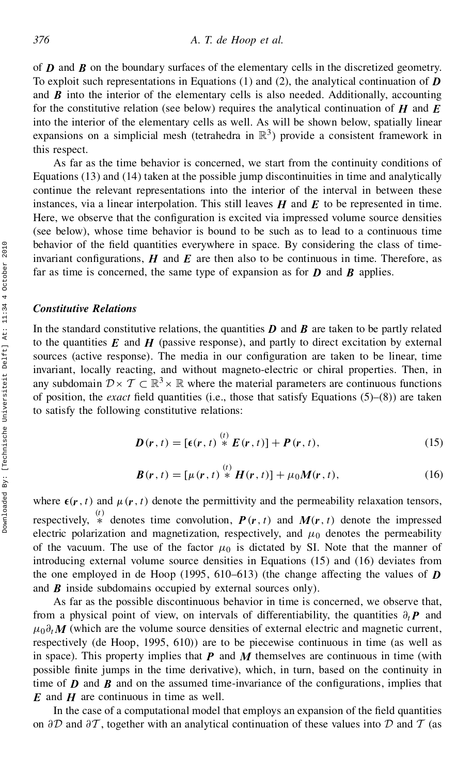of *D* and *B* on the boundary surfaces of the elementary cells in the discretized geometry. To exploit such representations in Equations (1) and (2), the analytical continuation of *D* and  $\boldsymbol{B}$  into the interior of the elementary cells is also needed. Additionally, accounting for the constitutive relation (see below) requires the analytical continuation of *H* and *E* into the interior of the elementary cells as well. As will be shown below, spatially linear expansions on a simplicial mesh (tetrahedra in  $\mathbb{R}^3$ ) provide a consistent framework in this respect.

As far as the time behavior is concerned, we start from the continuity conditions of Equations (13) and (14) taken at the possible jump discontinuities in time and analytically continue the relevant representations into the interior of the interval in between these instances, via a linear interpolation. This still leaves *H* and *E* to be represented in time. Here, we observe that the configuration is excited via impressed volume source densities (see below), whose time behavior is bound to be such as to lead to a continuous time behavior of the field quantities everywhere in space. By considering the class of timeinvariant configurations,  $H$  and  $E$  are then also to be continuous in time. Therefore, as far as time is concerned, the same type of expansion as for *D* and *B* applies.

## *Constitutive Relations*

In the standard constitutive relations, the quantities  $\boldsymbol{D}$  and  $\boldsymbol{B}$  are taken to be partly related to the quantities  $E$  and  $H$  (passive response), and partly to direct excitation by external sources (active response). The media in our configuration are taken to be linear, time invariant, locally reacting, and without magneto-electric or chiral properties. Then, in any subdomain  $\mathcal{D} \times \mathcal{T} \subset \mathbb{R}^3 \times \mathbb{R}$  where the material parameters are continuous functions of position, the *exact* field quantities (i.e., those that satisfy Equations  $(5)-(8)$ ) are taken to satisfy the following constitutive relations:

$$
\boldsymbol{D}(\mathbf{r},t) = \left[\boldsymbol{\epsilon}(\mathbf{r},t) \stackrel{(t)}{*} \boldsymbol{E}(\mathbf{r},t)\right] + \boldsymbol{P}(\mathbf{r},t),\tag{15}
$$

$$
\boldsymbol{B}(\mathbf{r},t) = [\mu(\mathbf{r},t) * \boldsymbol{H}(\mathbf{r},t)] + \mu_0 \boldsymbol{M}(\mathbf{r},t), \qquad (16)
$$

where  $\epsilon(\mathbf{r},t)$  and  $\mu(\mathbf{r},t)$  denote the permittivity and the permeability relaxation tensors, respectively,  $*$  denotes time convolution,  $P(r, t)$  and  $M(r, t)$  denote the impressed electric polarization and magnetization, respectively, and  $\mu_0$  denotes the permeability of the vacuum. The use of the factor  $\mu_0$  is dictated by SI. Note that the manner of introducing external volume source densities in Equations (15) and (16) deviates from the one employed in de Hoop (1995, 610–613) (the change affecting the values of  $\boldsymbol{D}$ and *B* inside subdomains occupied by external sources only).

As far as the possible discontinuous behavior in time is concerned, we observe that, from a physical point of view, on intervals of differentiability, the quantities  $\partial_t P$  and  $\mu_0 \partial_t M$  (which are the volume source densities of external electric and magnetic current, respectively (de Hoop, 1995, 610)) are to be piecewise continuous in time (as well as in space). This property implies that  $P$  and  $M$  themselves are continuous in time (with possible finite jumps in the time derivative), which, in turn, based on the continuity in time of  $\bm{D}$  and  $\bm{B}$  and on the assumed time-invariance of the configurations, implies that *E* and *H* are continuous in time as well.

In the case of a computational model that employs an expansion of the field quantities on  $\partial \mathcal{D}$  and  $\partial \mathcal{T}$ , together with an analytical continuation of these values into  $\mathcal{D}$  and  $\mathcal{T}$  (as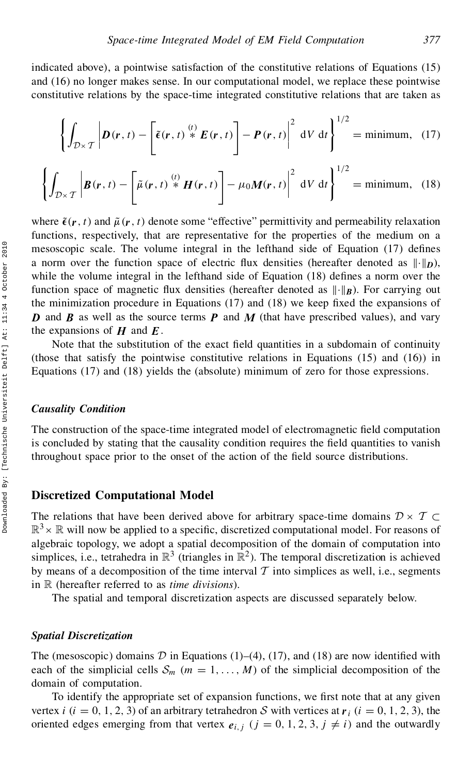indicated above), a pointwise satisfaction of the constitutive relations of Equations (15) and (16) no longer makes sense. In our computational model, we replace these pointwise constitutive relations by the space-time integrated constitutive relations that are taken as

$$
\left\{\int_{\mathcal{D}\times\mathcal{T}}\left|\bm{D}(\bm{r},t)-\left[\widetilde{\bm{\epsilon}}(\bm{r},t)\stackrel{(t)}{*}\bm{E}(\bm{r},t)\right]-\bm{P}(\bm{r},t)\right|^2\,\mathrm{d}V\,\mathrm{d}t\right\}^{1/2}=\text{minimum},\quad(17)
$$

$$
\left\{\int_{\mathcal{D}\times\mathcal{T}}\left|\boldsymbol{B}(\boldsymbol{r},t)-\left[\tilde{\mu}(\boldsymbol{r},t)\stackrel{(t)}{*}\boldsymbol{H}(\boldsymbol{r},t)\right]-\mu_0\boldsymbol{M}(\boldsymbol{r},t)\right|^2\,\mathrm{d}V\,\mathrm{d}t\right\}^{1/2}=\text{minimum},\quad(18)
$$

where  $\tilde{\epsilon}(r, t)$  and  $\tilde{\mu}(r, t)$  denote some "effective" permittivity and permeability relaxation functions, respectively, that are representative for the properties of the medium on a mesoscopic scale. The volume integral in the lefthand side of Equation  $(17)$  defines a norm over the function space of electric flux densities (hereafter denoted as  $\|\cdot\|_D$ ), while the volume integral in the lefthand side of Equation  $(18)$  defines a norm over the function space of magnetic flux densities (hereafter denoted as  $\|\cdot\|_B$ ). For carrying out the minimization procedure in Equations  $(17)$  and  $(18)$  we keep fixed the expansions of *D* and *B* as well as the source terms *P* and *M* (that have prescribed values), and vary the expansions of  $H$  and  $E$ .

Note that the substitution of the exact field quantities in a subdomain of continuity (those that satisfy the pointwise constitutive relations in Equations  $(15)$  and  $(16)$ ) in Equations (17) and (18) yields the (absolute) minimum of zero for those expressions.

#### *Causality Condition*

The construction of the space-time integrated model of electromagnetic field computation is concluded by stating that the causality condition requires the field quantities to vanish throughout space prior to the onset of the action of the field source distributions.

#### **Discretized Computational Model**

The relations that have been derived above for arbitrary space-time domains  $\mathcal{D} \times \mathcal{T} \subset$  $\mathbb{R}^3 \times \mathbb{R}$  will now be applied to a specific, discretized computational model. For reasons of algebraic topology, we adopt a spatial decomposition of the domain of computation into simplices, i.e., tetrahedra in  $\mathbb{R}^3$  (triangles in  $\mathbb{R}^2$ ). The temporal discretization is achieved by means of a decomposition of the time interval  $T$  into simplices as well, i.e., segments in R (hereafter referred to as *time divisions*).

The spatial and temporal discretization aspects are discussed separately below.

#### *Spatial Discretization*

The (mesoscopic) domains  $D$  in Equations (1)–(4), (17), and (18) are now identified with each of the simplicial cells  $S_m$  ( $m = 1, \ldots, M$ ) of the simplicial decomposition of the domain of computation.

To identify the appropriate set of expansion functions, we first note that at any given vertex *i* (*i* = 0, 1, 2, 3) of an arbitrary tetrahedron S with vertices at  $r_i$  (*i* = 0, 1, 2, 3), the oriented edges emerging from that vertex  $e_{i,j}$  ( $j = 0, 1, 2, 3, j \neq i$ ) and the outwardly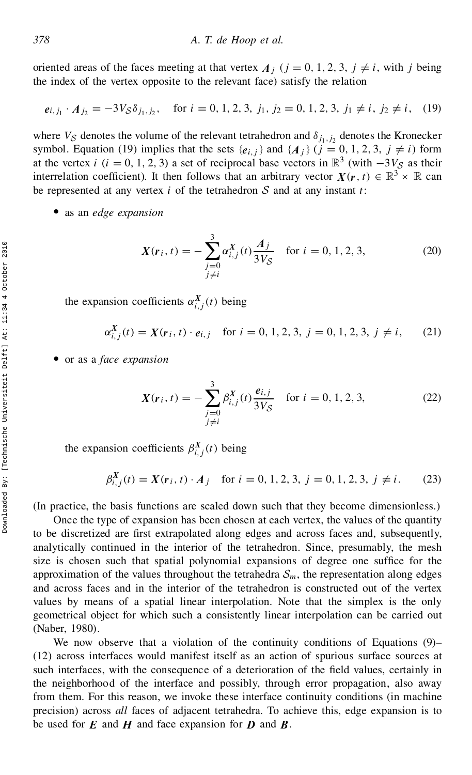oriented areas of the faces meeting at that vertex  $A_j$  ( $j = 0, 1, 2, 3, j \neq i$ , with j being the index of the vertex opposite to the relevant face) satisfy the relation

$$
e_{i,j_1} \cdot A_{j_2} = -3V_S \delta_{j_1,j_2}
$$
, for  $i = 0, 1, 2, 3, j_1, j_2 = 0, 1, 2, 3, j_1 \neq i, j_2 \neq i$ , (19)

where  $V_{\mathcal{S}}$  denotes the volume of the relevant tetrahedron and  $\delta_{j_1,j_2}$  denotes the Kronecker symbol. Equation (19) implies that the sets  $\{e_{i,j}\}\$  and  $\{A_j\}$  ( $j = 0, 1, 2, 3, j \neq i$ ) form at the vertex *i* (*i* = 0, 1, 2, 3) a set of reciprocal base vectors in  $\mathbb{R}^3$  (with  $-3V_s$  as their interrelation coefficient). It then follows that an arbitrary vector  $X(r, t) \in \mathbb{R}^3 \times \mathbb{R}$  can be represented at any vertex  $i$  of the tetrahedron  $S$  and at any instant  $t$ :

• as an *edge expansion* 

$$
X(r_i, t) = -\sum_{\substack{j=0 \ j \neq i}}^3 \alpha_{i,j}^X(t) \frac{A_j}{3V_S} \quad \text{for } i = 0, 1, 2, 3,
$$
 (20)

the expansion coefficients  $\alpha_{i,j}^X(t)$  being

$$
\alpha_{i,j}^X(t) = X(r_i, t) \cdot e_{i,j} \quad \text{for } i = 0, 1, 2, 3, j = 0, 1, 2, 3, j \neq i,
$$
 (21)

• or as a *face expansion* 

$$
X(r_i, t) = -\sum_{\substack{j=0 \ j \neq i}}^3 \beta_{i,j}^X(t) \frac{e_{i,j}}{3V_S} \quad \text{for } i = 0, 1, 2, 3,
$$
 (22)

the expansion coefficients  $\beta_{i,j}^X(t)$  being

$$
\beta_{i,j}^X(t) = X(r_i, t) \cdot A_j \quad \text{for } i = 0, 1, 2, 3, j = 0, 1, 2, 3, j \neq i. \tag{23}
$$

(In practice, the basis functions are scaled down such that they become dimensionless.)

Once the type of expansion has been chosen at each vertex, the values of the quantity to be discretized are first extrapolated along edges and across faces and, subsequently, analytically continued in the interior of the tetrahedron. Since, presumably, the mesh size is chosen such that spatial polynomial expansions of degree one suffice for the approximation of the values throughout the tetrahedra  $S_m$ , the representation along edges and across faces and in the interior of the tetrahedron is constructed out of the vertex values by means of a spatial linear interpolation. Note that the simplex is the only geometrical object for which such a consistently linear interpolation can be carried out (Naber, 1980).  $X(r_i, t) = -\sum_{j=0} \alpha_{i,j}^X(t) \frac{A_j}{3V_S}$  for<br>
the expansion coefficients  $\alpha_{i,j}^X(t)$  being<br>  $\alpha_{i,j}^X(t) = X(r_i, t) \cdot e_{i,j}$  for  $i = 0, 1, 2, 3$ ,<br>  $\bullet$  or as a *face expansion*<br>  $X(r_i, t) = -\sum_{j=0}^3 \beta_{i,j}^X(t) \frac{e_{i,j}}{3V_S}$  for<br>
the

We now observe that a violation of the continuity conditions of Equations (9)– (12) across interfaces would manifest itself as an action of spurious surface sources at such interfaces, with the consequence of a deterioration of the field values, certainly in the neighborhood of the interface and possibly, through error propagation, also away from them. For this reason, we invoke these interface continuity conditions (in machine precision) across *all* faces of adjacent tetrahedra. To achieve this, edge expansion is to